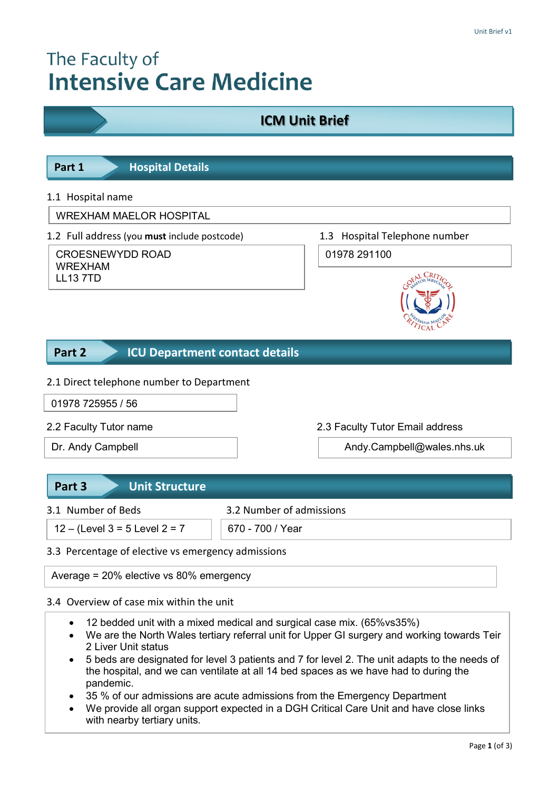# The Faculty of **Intensive Care Medicine**



- 3.5 Details of the unit of the unit of the unit of the unit of the unit of the unit of the unit of the unit of <br>The unit of the unit of the unit of the unit of the unit of the unit of the unit of the unit of the unit of th • 5 beds are designated for level 3 patients and 7 for level 2. The unit adapts to the needs of the hospital, and we can ventilate at all 14 bed spaces as we have had to during the pandemic.
	- 35 % of our admissions are acute admissions from the Emergency Department
	- We provide all organ support expected in a DGH Critical Care Unit and have close links with nearby tertiary units.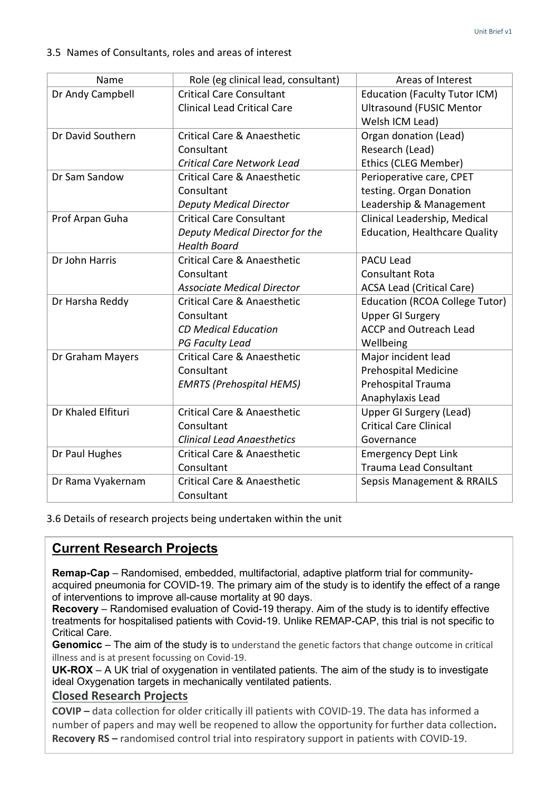#### 3.5 Names of Consultants, roles and areas of interest

| Name               | Role (eg clinical lead, consultant)    | Areas of Interest                    |
|--------------------|----------------------------------------|--------------------------------------|
| Dr Andy Campbell   | <b>Critical Care Consultant</b>        | <b>Education (Faculty Tutor ICM)</b> |
|                    | <b>Clinical Lead Critical Care</b>     | <b>Ultrasound (FUSIC Mentor</b>      |
|                    |                                        | Welsh ICM Lead)                      |
| Dr David Southern  | Critical Care & Anaesthetic            | Organ donation (Lead)                |
|                    | Consultant                             | Research (Lead)                      |
|                    | <b>Critical Care Network Lead</b>      | Ethics (CLEG Member)                 |
| Dr Sam Sandow      | Critical Care & Anaesthetic            | Perioperative care, CPET             |
|                    | Consultant                             | testing. Organ Donation              |
|                    | <b>Deputy Medical Director</b>         | Leadership & Management              |
| Prof Arpan Guha    | <b>Critical Care Consultant</b>        | Clinical Leadership, Medical         |
|                    | Deputy Medical Director for the        | <b>Education, Healthcare Quality</b> |
|                    | <b>Health Board</b>                    |                                      |
| Dr John Harris     | Critical Care & Anaesthetic            | <b>PACU Lead</b>                     |
|                    | Consultant                             | <b>Consultant Rota</b>               |
|                    | <b>Associate Medical Director</b>      | <b>ACSA Lead (Critical Care)</b>     |
| Dr Harsha Reddy    | Critical Care & Anaesthetic            | Education (RCOA College Tutor)       |
|                    | Consultant                             | <b>Upper GI Surgery</b>              |
|                    | <b>CD Medical Education</b>            | <b>ACCP and Outreach Lead</b>        |
|                    | <b>PG Faculty Lead</b>                 | Wellbeing                            |
| Dr Graham Mayers   | <b>Critical Care &amp; Anaesthetic</b> | Major incident lead                  |
|                    | Consultant                             | <b>Prehospital Medicine</b>          |
|                    | <b>EMRTS (Prehospital HEMS)</b>        | Prehospital Trauma                   |
|                    |                                        | Anaphylaxis Lead                     |
| Dr Khaled Elfituri | <b>Critical Care &amp; Anaesthetic</b> | <b>Upper GI Surgery (Lead)</b>       |
|                    | Consultant                             | <b>Critical Care Clinical</b>        |
|                    | <b>Clinical Lead Anaesthetics</b>      | Governance                           |
| Dr Paul Hughes     | <b>Critical Care &amp; Anaesthetic</b> | <b>Emergency Dept Link</b>           |
|                    | Consultant                             | <b>Trauma Lead Consultant</b>        |
| Dr Rama Vyakernam  | Critical Care & Anaesthetic            | Sepsis Management & RRAILS           |
|                    | Consultant                             |                                      |

3.6 Details of research projects being undertaken within the unit

### **Current Research Projects**

**Remap-Cap** – Randomised, embedded, multifactorial, adaptive platform trial for communityacquired pneumonia for COVID-19. The primary aim of the study is to identify the effect of a range of interventions to improve all-cause mortality at 90 days.

**Recovery** – Randomised evaluation of Covid-19 therapy. Aim of the study is to identify effective treatments for hospitalised patients with Covid-19. Unlike REMAP-CAP, this trial is not specific to Critical Care.

**Genomicc** – The aim of the study is to understand the genetic factors that change outcome in critical illness and is at present focussing on Covid-19.

**UK-ROX** – A UK trial of oxygenation in ventilated patients. The aim of the study is to investigate ideal Oxygenation targets in mechanically ventilated patients.

#### **Closed Research Projects**

**COVIP –** data collection for older critically ill patients with COVID-19. The data has informed a number of papers and may well be reopened to allow the opportunity for further data collection**. Recovery RS –** randomised control trial into respiratory support in patients with COVID-19.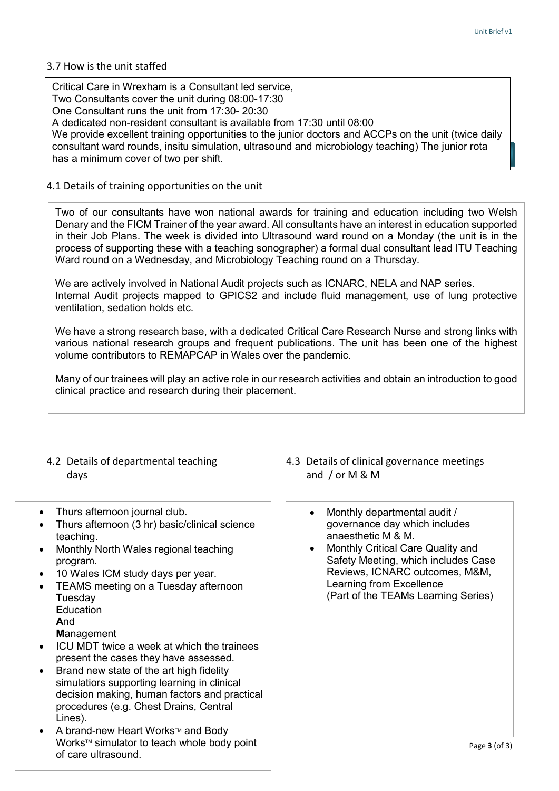#### 3.7 How is the unit staffed

 **Training Part 4** has a minimum cover of two per shift.Critical Care in Wrexham is a Consultant led service, Two Consultants cover the unit during 08:00-17:30 One Consultant runs the unit from 17:30- 20:30 A dedicated non-resident consultant is available from 17:30 until 08:00 We provide excellent training opportunities to the junior doctors and ACCPs on the unit (twice daily consultant ward rounds, insitu simulation, ultrasound and microbiology teaching) The junior rota

#### 4.1 Details of training opportunities on the unit

Two of our consultants have won national awards for training and education including two Welsh Denary and the FICM Trainer of the year award. All consultants have an interest in education supported in their Job Plans. The week is divided into Ultrasound ward round on a Monday (the unit is in the process of supporting these with a teaching sonographer) a formal dual consultant lead ITU Teaching Ward round on a Wednesday, and Microbiology Teaching round on a Thursday.

We are actively involved in National Audit projects such as ICNARC, NELA and NAP series. Internal Audit projects mapped to GPICS2 and include fluid management, use of lung protective ventilation, sedation holds etc.

We have a strong research base, with a dedicated Critical Care Research Nurse and strong links with various national research groups and frequent publications. The unit has been one of the highest volume contributors to REMAPCAP in Wales over the pandemic.

Many of our trainees will play an active role in our research activities and obtain an introduction to good clinical practice and research during their placement.

- days and  $\int$  or M & M
- Thurs afternoon journal club.
- Thurs afternoon (3 hr) basic/clinical science teaching.
- Monthly North Wales regional teaching program.
- 10 Wales ICM study days per year.
- TEAMS meeting on a Tuesday afternoon **T**uesday **E**ducation
	- **A**nd
	- **M**anagement
- ICU MDT twice a week at which the trainees present the cases they have assessed.
- Brand new state of the art high fidelity simulatiors supporting learning in clinical decision making, human factors and practical procedures (e.g. Chest Drains, Central Lines).
- A brand-new Heart Works™ and Body Works™ simulator to teach whole body point of care ultrasound.
- 4.2 Details of departmental teaching 4.3 Details of clinical governance meetings
	- Monthly departmental audit / governance day which includes anaesthetic M & M.
	- Monthly Critical Care Quality and Safety Meeting, which includes Case Reviews, ICNARC outcomes, M&M, Learning from Excellence (Part of the TEAMs Learning Series)